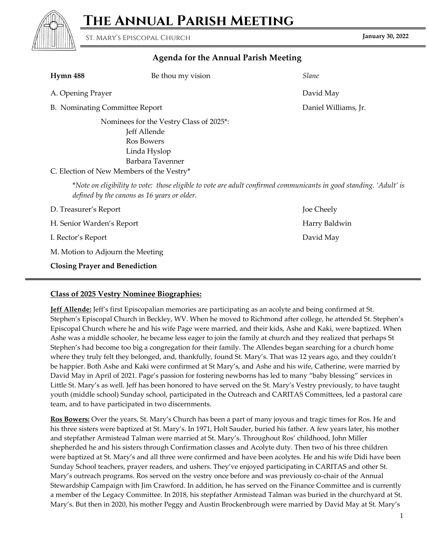**The Annual Parish Meeting**



**January 30, 2022** St. Mary's Episcopal Church

## **Agenda for the Annual Parish Meeting**

| Hymn 488                                                                                                                                                          | Be thou my vision | Slane                |  |  |
|-------------------------------------------------------------------------------------------------------------------------------------------------------------------|-------------------|----------------------|--|--|
| A. Opening Prayer                                                                                                                                                 |                   | David May            |  |  |
| B. Nominating Committee Report                                                                                                                                    |                   | Daniel Williams, Jr. |  |  |
| Nominees for the Vestry Class of 2025*:<br>Jeff Allende<br>Ros Bowers<br>Linda Hyslop<br>Barbara Tavenner<br>C. Election of New Members of the Vestry*            |                   |                      |  |  |
| *Note on eligibility to vote: those eligible to vote are adult confirmed communicants in good standing. 'Adult' is<br>defined by the canons as 16 years or older. |                   |                      |  |  |
| D. Treasurer's Report                                                                                                                                             |                   | Joe Cheely           |  |  |
| H. Senior Warden's Report                                                                                                                                         |                   | Harry Baldwin        |  |  |
| I. Rector's Report                                                                                                                                                |                   | David May            |  |  |
| M. Motion to Adjourn the Meeting                                                                                                                                  |                   |                      |  |  |
| <b>Closing Prayer and Benediction</b>                                                                                                                             |                   |                      |  |  |

## **Class of 2025 Vestry Nominee Biographies:**

**Jeff Allende:** Jeff's first Episcopalian memories are participating as an acolyte and being confirmed at St. Stephen's Episcopal Church in Beckley, WV. When he moved to Richmond after college, he attended St. Stephen's Episcopal Church where he and his wife Page were married, and their kids, Ashe and Kaki, were baptized. When Ashe was a middle schooler, he became less eager to join the family at church and they realized that perhaps St Stephen's had become too big a congregation for their family. The Allendes began searching for a church home where they truly felt they belonged, and, thankfully, found St. Mary's. That was 12 years ago, and they couldn't be happier. Both Ashe and Kaki were confirmed at St Mary's, and Ashe and his wife, Catherine, were married by David May in April of 2021. Page's passion for fostering newborns has led to many "baby blessing" services in Little St. Mary's as well. Jeff has been honored to have served on the St. Mary's Vestry previously, to have taught youth (middle school) Sunday school, participated in the Outreach and CARITAS Committees, led a pastoral care team, and to have participated in two discernments.

**Ros Bowers:** Over the years, St. Mary's Church has been a part of many joyous and tragic times for Ros. He and his three sisters were baptized at St. Mary's. In 1971, Holt Sauder, buried his father. A few years later, his mother and stepfather Armistead Talman were married at St. Mary's. Throughout Ros' childhood, John Miller shepherded he and his sisters through Confirmation classes and Acolyte duty. Then two of his three children were baptized at St. Mary's and all three were confirmed and have been acolytes. He and his wife Didi have been Sunday School teachers, prayer readers, and ushers. They've enjoyed participating in CARITAS and other St. Mary's outreach programs. Ros served on the vestry once before and was previously co-chair of the Annual Stewardship Campaign with Jim Crawford. In addition, he has served on the Finance Committee and is currently a member of the Legacy Committee. In 2018, his stepfather Armistead Talman was buried in the churchyard at St. Mary's. But then in 2020, his mother Peggy and Austin Brockenbrough were married by David May at St. Mary's